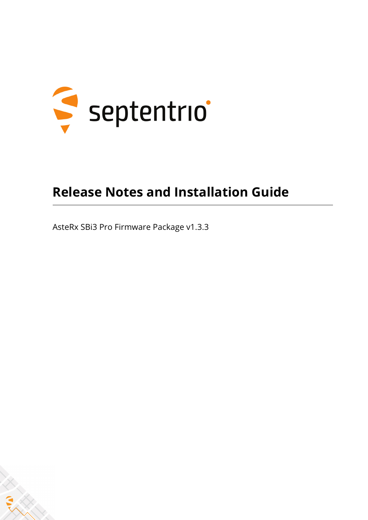

### **Release Notes and Installation Guide**

AsteRx SBi3 Pro Firmware Package v1.3.3

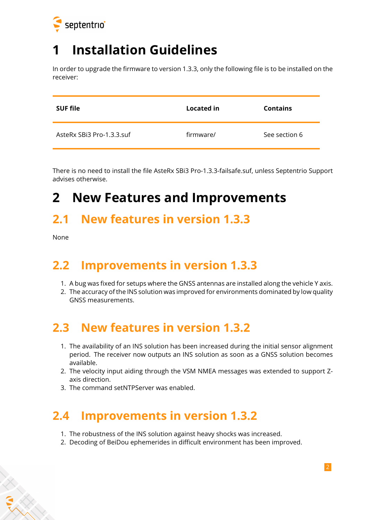

## **1 Installation Guidelines**

In order to upgrade the firmware to version 1.3.3, only the following file is to be installed on the receiver:

| <b>SUF file</b>           | Located in | <b>Contains</b> |
|---------------------------|------------|-----------------|
| AsteRx SBi3 Pro-1.3.3.suf | firmware/  | See section 6   |

There is no need to install the file AsteRx SBi3 Pro-1.3.3-failsafe.suf, unless Septentrio Support advises otherwise.

### **2 New Features and Improvements**

#### **2.1 New features in version 1.3.3**

None

#### **2.2 Improvements in version 1.3.3**

- 1. A bug was fixed for setups where the GNSS antennas are installed along the vehicle Y axis.
- 2. The accuracy of the INS solution was improved for environments dominated by low quality GNSS measurements.

#### **2.3 New features in version 1.3.2**

- 1. The availability of an INS solution has been increased during the initial sensor alignment period. The receiver now outputs an INS solution as soon as a GNSS solution becomes available.
- 2. The velocity input aiding through the VSM NMEA messages was extended to support Zaxis direction.
- 3. The command setNTPServer was enabled.

#### **2.4 Improvements in version 1.3.2**

- 1. The robustness of the INS solution against heavy shocks was increased.
- 2. Decoding of BeiDou ephemerides in difficult environment has been improved.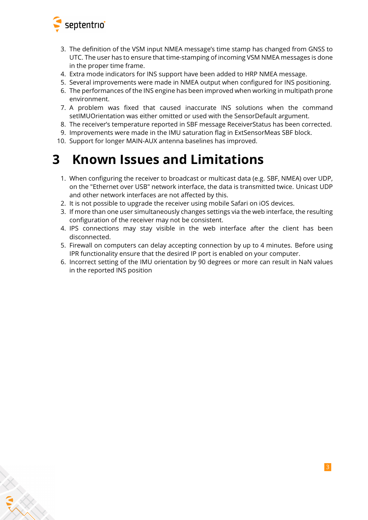

- 3. The definition of the VSM input NMEA message's time stamp has changed from GNSS to UTC. The user has to ensure that time-stamping of incoming VSM NMEA messages is done in the proper time frame.
- 4. Extra mode indicators for INS support have been added to HRP NMEA message.
- 5. Several improvements were made in NMEA output when configured for INS positioning.
- 6. The performances of the INS engine has been improved when working in multipath prone environment.
- 7. A problem was fixed that caused inaccurate INS solutions when the command setIMUOrientation was either omitted or used with the SensorDefault argument.
- 8. The receiver's temperature reported in SBF message ReceiverStatus has been corrected.
- 9. Improvements were made in the IMU saturation flag in ExtSensorMeas SBF block.
- 10. Support for longer MAIN-AUX antenna baselines has improved.

### **3 Known Issues and Limitations**

- 1. When configuring the receiver to broadcast or multicast data (e.g. SBF, NMEA) over UDP, on the "Ethernet over USB" network interface, the data is transmitted twice. Unicast UDP and other network interfaces are not affected by this.
- 2. It is not possible to upgrade the receiver using mobile Safari on iOS devices.
- 3. If more than one user simultaneously changes settings via the web interface, the resulting configuration of the receiver may not be consistent.
- 4. IPS connections may stay visible in the web interface after the client has been disconnected.
- 5. Firewall on computers can delay accepting connection by up to 4 minutes. Before using IPR functionality ensure that the desired IP port is enabled on your computer.
- 6. Incorrect setting of the IMU orientation by 90 degrees or more can result in NaN values in the reported INS position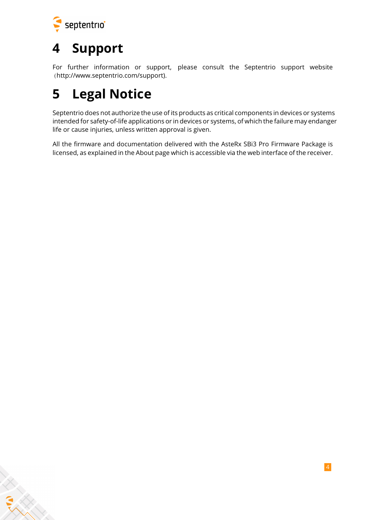

# **4 Support**

For further information or support, please consult the Septentrio support website [\(](()http://www.septentrio.com/support).

## **5 Legal Notice**

Septentrio does not authorize the use of its products as critical components in devices or systems intended for safety-of-life applications or in devices or systems, of which the failure may endanger life or cause injuries, unless written approval is given.

All the firmware and documentation delivered with the AsteRx SBi3 Pro Firmware Package is licensed, as explained in the About page which is accessible via the web interface of the receiver.